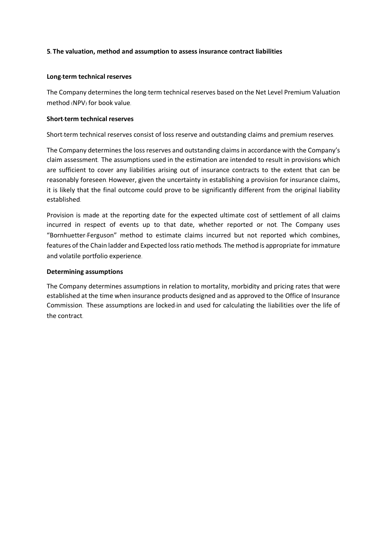# **5. The valuation, method and assumption to assess insurance contract liabilities**

# **Long-term technical reserves**

The Company determines the long-term technical reserves based on the Net Level Premium Valuation method (NPV) for book value.

# **Short-term technical reserves**

Short-term technical reserves consist of loss reserve and outstanding claims and premium reserves.

The Company determines the loss reserves and outstanding claims in accordance with the Company's claim assessment. The assumptions used in the estimation are intended to result in provisions which are sufficient to cover any liabilities arising out of insurance contracts to the extent that can be reasonably foreseen. However, given the uncertainty in establishing a provision for insurance claims, it is likely that the final outcome could prove to be significantly different from the original liability established.

Provision is made at the reporting date for the expected ultimate cost of settlement of all claims incurred in respect of events up to that date, whether reported or not. The Company uses "Bornhuetter-Ferguson" method to estimate claims incurred but not reported which combines, features of the Chain ladder and Expected loss ratio methods. The method is appropriate for immature and volatile portfolio experience.

# **Determining assumptions**

The Company determines assumptions in relation to mortality, morbidity and pricing rates that were established at the time when insurance products designed and as approved to the Office of Insurance Commission. These assumptions are locked-in and used for calculating the liabilities over the life of the contract.